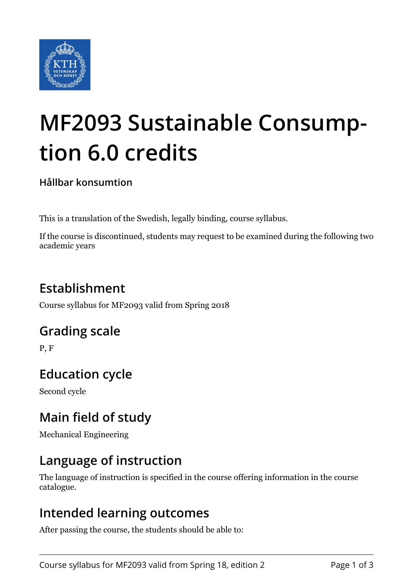

# **MF2093 Sustainable Consumption 6.0 credits**

**Hållbar konsumtion**

This is a translation of the Swedish, legally binding, course syllabus.

If the course is discontinued, students may request to be examined during the following two academic years

# **Establishment**

Course syllabus for MF2093 valid from Spring 2018

## **Grading scale**

P, F

# **Education cycle**

Second cycle

# **Main field of study**

Mechanical Engineering

## **Language of instruction**

The language of instruction is specified in the course offering information in the course catalogue.

## **Intended learning outcomes**

After passing the course, the students should be able to: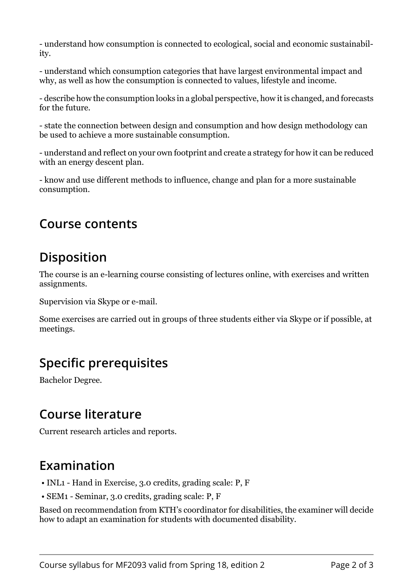- understand how consumption is connected to ecological, social and economic sustainability.

- understand which consumption categories that have largest environmental impact and why, as well as how the consumption is connected to values, lifestyle and income.

- describe how the consumption looks in a global perspective, how it is changed, and forecasts for the future.

- state the connection between design and consumption and how design methodology can be used to achieve a more sustainable consumption.

- understand and reflect on your own footprint and create a strategy for how it can be reduced with an energy descent plan.

- know and use different methods to influence, change and plan for a more sustainable consumption.

#### **Course contents**

## **Disposition**

The course is an e-learning course consisting of lectures online, with exercises and written assignments.

Supervision via Skype or e-mail.

Some exercises are carried out in groups of three students either via Skype or if possible, at meetings.

## **Specific prerequisites**

Bachelor Degree.

#### **Course literature**

Current research articles and reports.

#### **Examination**

- INL1 Hand in Exercise, 3.0 credits, grading scale: P, F
- SEM1 Seminar, 3.0 credits, grading scale: P, F

Based on recommendation from KTH's coordinator for disabilities, the examiner will decide how to adapt an examination for students with documented disability.